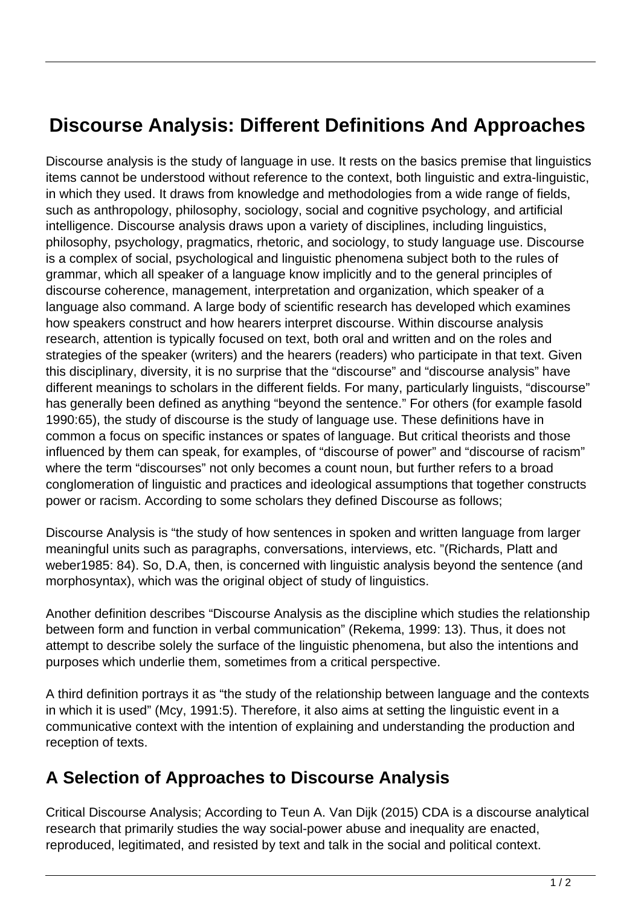## **Discourse Analysis: Different Definitions And Approaches**

Discourse analysis is the study of language in use. It rests on the basics premise that linguistics items cannot be understood without reference to the context, both linguistic and extra-linguistic, in which they used. It draws from knowledge and methodologies from a wide range of fields, such as anthropology, philosophy, sociology, social and cognitive psychology, and artificial intelligence. Discourse analysis draws upon a variety of disciplines, including linguistics, philosophy, psychology, pragmatics, rhetoric, and sociology, to study language use. Discourse is a complex of social, psychological and linguistic phenomena subject both to the rules of grammar, which all speaker of a language know implicitly and to the general principles of discourse coherence, management, interpretation and organization, which speaker of a language also command. A large body of scientific research has developed which examines how speakers construct and how hearers interpret discourse. Within discourse analysis research, attention is typically focused on text, both oral and written and on the roles and strategies of the speaker (writers) and the hearers (readers) who participate in that text. Given this disciplinary, diversity, it is no surprise that the "discourse" and "discourse analysis" have different meanings to scholars in the different fields. For many, particularly linguists, "discourse" has generally been defined as anything "beyond the sentence." For others (for example fasold 1990:65), the study of discourse is the study of language use. These definitions have in common a focus on specific instances or spates of language. But critical theorists and those influenced by them can speak, for examples, of "discourse of power" and "discourse of racism" where the term "discourses" not only becomes a count noun, but further refers to a broad conglomeration of linguistic and practices and ideological assumptions that together constructs power or racism. According to some scholars they defined Discourse as follows;

Discourse Analysis is "the study of how sentences in spoken and written language from larger meaningful units such as paragraphs, conversations, interviews, etc. "(Richards, Platt and weber1985: 84). So, D.A, then, is concerned with linguistic analysis beyond the sentence (and morphosyntax), which was the original object of study of linguistics.

Another definition describes "Discourse Analysis as the discipline which studies the relationship between form and function in verbal communication" (Rekema, 1999: 13). Thus, it does not attempt to describe solely the surface of the linguistic phenomena, but also the intentions and purposes which underlie them, sometimes from a critical perspective.

A third definition portrays it as "the study of the relationship between language and the contexts in which it is used" (Mcy, 1991:5). Therefore, it also aims at setting the linguistic event in a communicative context with the intention of explaining and understanding the production and reception of texts.

## **A Selection of Approaches to Discourse Analysis**

Critical Discourse Analysis; According to Teun A. Van Dijk (2015) CDA is a discourse analytical research that primarily studies the way social-power abuse and inequality are enacted, reproduced, legitimated, and resisted by text and talk in the social and political context.